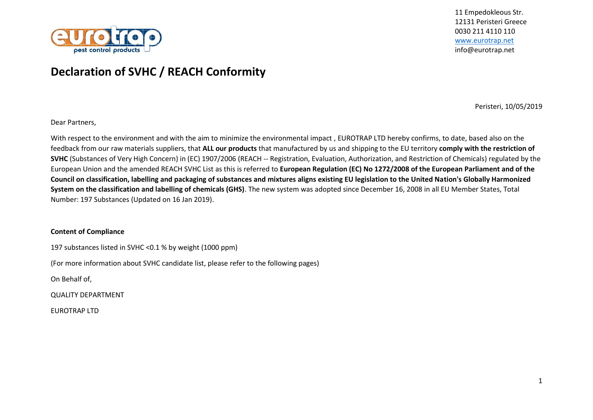

## **Declaration of SVHC / REACH Conformity**

Peristeri, 10/05/2019

Dear Partners,

With respect to the environment and with the aim to minimize the environmental impact , EUROTRAP LTD hereby confirms, to date, based also on the feedback from our raw materials suppliers, that **ALL our products** that manufactured by us and shipping to the EU territory **comply with the restriction of SVHC** (Substances of Very High Concern) in (EC) 1907/2006 (REACH -- Registration, Evaluation, Authorization, and Restriction of Chemicals) regulated by the European Union and the amended REACH SVHC List as this is referred to **European Regulation (EC) No 1272/2008 of the European Parliament and of the Council on classification, labelling and packaging of substances and mixtures aligns existing EU legislation to the United Nation's Globally Harmonized System on the classification and labelling of chemicals (GHS)**. The new system was adopted since December 16, 2008 in all EU Member States, Total Number: 197 Substances (Updated on 16 Jan 2019).

## **Content of Compliance**

197 substances listed in SVHC <0.1 % by weight (1000 ppm)

(For more information about SVHC candidate list, please refer to the following pages)

On Behalf of,

QUALITY DEPARTMENT

EUROTRAP LTD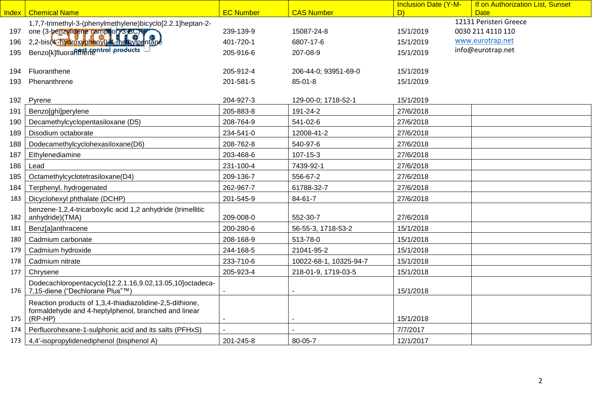| <b>CAS Number</b><br><b>Chemical Name</b><br><b>EC Number</b><br>D)<br>Index<br><b>Date</b><br>12131 Peristeri Greece<br>1,7,7-trimethyl-3-(phenylmethylene)bicyclo[2.2.1]heptan-2-<br>0030 211 4110 110<br>one (3-benzylidene camphon 3-BC)<br>239-139-9<br>15/1/2019<br>15087-24-8<br>197<br>2,2-bis(4'-hydroxyphenyl) 4-methylpentane<br>www.eurotrap.net<br>401-720-1<br>15/1/2019<br>196<br>6807-17-6<br>Benzo[k]fluoranthetantrol products<br>info@eurotrap.net<br>195<br>205-916-6<br>207-08-9<br>15/1/2019<br>Fluoranthene<br>205-912-4<br>206-44-0; 93951-69-0<br>15/1/2019<br>194<br>Phenanthrene<br>201-581-5<br>15/1/2019<br>193<br>$85 - 01 - 8$<br>15/1/2019<br>Pyrene<br>204-927-3<br>129-00-0; 1718-52-1<br>192<br>205-883-8<br>191-24-2<br>27/6/2018<br>191<br>Benzo[ghi]perylene<br>Decamethylcyclopentasiloxane (D5)<br>208-764-9<br>541-02-6<br>27/6/2018<br>190<br>234-541-0<br>12008-41-2<br>27/6/2018<br>Disodium octaborate<br>189<br>Dodecamethylcyclohexasiloxane(D6)<br>208-762-8<br>540-97-6<br>27/6/2018<br>188<br>203-468-6<br>27/6/2018<br>187<br>Ethylenediamine<br>107-15-3<br>231-100-4<br>7439-92-1<br>186<br>27/6/2018<br>Lead<br>209-136-7<br>556-67-2<br>27/6/2018<br>185<br>Octamethylcyclotetrasiloxane(D4)<br>Terphenyl, hydrogenated<br>262-967-7<br>27/6/2018<br>61788-32-7<br>184<br>201-545-9<br>84-61-7<br>183<br>Dicyclohexyl phthalate (DCHP)<br>27/6/2018<br>benzene-1,2,4-tricarboxylic acid 1,2 anhydride (trimellitic<br>anhydride)(TMA)<br>182<br>209-008-0<br>552-30-7<br>27/6/2018<br>200-280-6<br>15/1/2018<br>Benz[a]anthracene<br>56-55-3, 1718-53-2<br>181 | If on Authorization List, Sunset |
|-----------------------------------------------------------------------------------------------------------------------------------------------------------------------------------------------------------------------------------------------------------------------------------------------------------------------------------------------------------------------------------------------------------------------------------------------------------------------------------------------------------------------------------------------------------------------------------------------------------------------------------------------------------------------------------------------------------------------------------------------------------------------------------------------------------------------------------------------------------------------------------------------------------------------------------------------------------------------------------------------------------------------------------------------------------------------------------------------------------------------------------------------------------------------------------------------------------------------------------------------------------------------------------------------------------------------------------------------------------------------------------------------------------------------------------------------------------------------------------------------------------------------------------------------------------------------------------------------------------------------|----------------------------------|
|                                                                                                                                                                                                                                                                                                                                                                                                                                                                                                                                                                                                                                                                                                                                                                                                                                                                                                                                                                                                                                                                                                                                                                                                                                                                                                                                                                                                                                                                                                                                                                                                                       |                                  |
|                                                                                                                                                                                                                                                                                                                                                                                                                                                                                                                                                                                                                                                                                                                                                                                                                                                                                                                                                                                                                                                                                                                                                                                                                                                                                                                                                                                                                                                                                                                                                                                                                       |                                  |
|                                                                                                                                                                                                                                                                                                                                                                                                                                                                                                                                                                                                                                                                                                                                                                                                                                                                                                                                                                                                                                                                                                                                                                                                                                                                                                                                                                                                                                                                                                                                                                                                                       |                                  |
|                                                                                                                                                                                                                                                                                                                                                                                                                                                                                                                                                                                                                                                                                                                                                                                                                                                                                                                                                                                                                                                                                                                                                                                                                                                                                                                                                                                                                                                                                                                                                                                                                       |                                  |
|                                                                                                                                                                                                                                                                                                                                                                                                                                                                                                                                                                                                                                                                                                                                                                                                                                                                                                                                                                                                                                                                                                                                                                                                                                                                                                                                                                                                                                                                                                                                                                                                                       |                                  |
|                                                                                                                                                                                                                                                                                                                                                                                                                                                                                                                                                                                                                                                                                                                                                                                                                                                                                                                                                                                                                                                                                                                                                                                                                                                                                                                                                                                                                                                                                                                                                                                                                       |                                  |
|                                                                                                                                                                                                                                                                                                                                                                                                                                                                                                                                                                                                                                                                                                                                                                                                                                                                                                                                                                                                                                                                                                                                                                                                                                                                                                                                                                                                                                                                                                                                                                                                                       |                                  |
|                                                                                                                                                                                                                                                                                                                                                                                                                                                                                                                                                                                                                                                                                                                                                                                                                                                                                                                                                                                                                                                                                                                                                                                                                                                                                                                                                                                                                                                                                                                                                                                                                       |                                  |
|                                                                                                                                                                                                                                                                                                                                                                                                                                                                                                                                                                                                                                                                                                                                                                                                                                                                                                                                                                                                                                                                                                                                                                                                                                                                                                                                                                                                                                                                                                                                                                                                                       |                                  |
|                                                                                                                                                                                                                                                                                                                                                                                                                                                                                                                                                                                                                                                                                                                                                                                                                                                                                                                                                                                                                                                                                                                                                                                                                                                                                                                                                                                                                                                                                                                                                                                                                       |                                  |
|                                                                                                                                                                                                                                                                                                                                                                                                                                                                                                                                                                                                                                                                                                                                                                                                                                                                                                                                                                                                                                                                                                                                                                                                                                                                                                                                                                                                                                                                                                                                                                                                                       |                                  |
|                                                                                                                                                                                                                                                                                                                                                                                                                                                                                                                                                                                                                                                                                                                                                                                                                                                                                                                                                                                                                                                                                                                                                                                                                                                                                                                                                                                                                                                                                                                                                                                                                       |                                  |
|                                                                                                                                                                                                                                                                                                                                                                                                                                                                                                                                                                                                                                                                                                                                                                                                                                                                                                                                                                                                                                                                                                                                                                                                                                                                                                                                                                                                                                                                                                                                                                                                                       |                                  |
|                                                                                                                                                                                                                                                                                                                                                                                                                                                                                                                                                                                                                                                                                                                                                                                                                                                                                                                                                                                                                                                                                                                                                                                                                                                                                                                                                                                                                                                                                                                                                                                                                       |                                  |
|                                                                                                                                                                                                                                                                                                                                                                                                                                                                                                                                                                                                                                                                                                                                                                                                                                                                                                                                                                                                                                                                                                                                                                                                                                                                                                                                                                                                                                                                                                                                                                                                                       |                                  |
|                                                                                                                                                                                                                                                                                                                                                                                                                                                                                                                                                                                                                                                                                                                                                                                                                                                                                                                                                                                                                                                                                                                                                                                                                                                                                                                                                                                                                                                                                                                                                                                                                       |                                  |
|                                                                                                                                                                                                                                                                                                                                                                                                                                                                                                                                                                                                                                                                                                                                                                                                                                                                                                                                                                                                                                                                                                                                                                                                                                                                                                                                                                                                                                                                                                                                                                                                                       |                                  |
|                                                                                                                                                                                                                                                                                                                                                                                                                                                                                                                                                                                                                                                                                                                                                                                                                                                                                                                                                                                                                                                                                                                                                                                                                                                                                                                                                                                                                                                                                                                                                                                                                       |                                  |
|                                                                                                                                                                                                                                                                                                                                                                                                                                                                                                                                                                                                                                                                                                                                                                                                                                                                                                                                                                                                                                                                                                                                                                                                                                                                                                                                                                                                                                                                                                                                                                                                                       |                                  |
|                                                                                                                                                                                                                                                                                                                                                                                                                                                                                                                                                                                                                                                                                                                                                                                                                                                                                                                                                                                                                                                                                                                                                                                                                                                                                                                                                                                                                                                                                                                                                                                                                       |                                  |
|                                                                                                                                                                                                                                                                                                                                                                                                                                                                                                                                                                                                                                                                                                                                                                                                                                                                                                                                                                                                                                                                                                                                                                                                                                                                                                                                                                                                                                                                                                                                                                                                                       |                                  |
| 208-168-9<br>513-78-0<br>15/1/2018<br>Cadmium carbonate<br>180                                                                                                                                                                                                                                                                                                                                                                                                                                                                                                                                                                                                                                                                                                                                                                                                                                                                                                                                                                                                                                                                                                                                                                                                                                                                                                                                                                                                                                                                                                                                                        |                                  |
| 244-168-5<br>15/1/2018<br>Cadmium hydroxide<br>21041-95-2<br>179                                                                                                                                                                                                                                                                                                                                                                                                                                                                                                                                                                                                                                                                                                                                                                                                                                                                                                                                                                                                                                                                                                                                                                                                                                                                                                                                                                                                                                                                                                                                                      |                                  |
| 233-710-6<br>15/1/2018<br>178<br>10022-68-1, 10325-94-7<br>Cadmium nitrate                                                                                                                                                                                                                                                                                                                                                                                                                                                                                                                                                                                                                                                                                                                                                                                                                                                                                                                                                                                                                                                                                                                                                                                                                                                                                                                                                                                                                                                                                                                                            |                                  |
| 205-923-4<br>177<br>218-01-9, 1719-03-5<br>15/1/2018<br>Chrysene                                                                                                                                                                                                                                                                                                                                                                                                                                                                                                                                                                                                                                                                                                                                                                                                                                                                                                                                                                                                                                                                                                                                                                                                                                                                                                                                                                                                                                                                                                                                                      |                                  |
| Dodecachloropentacyclo[12.2.1.16,9.02,13.05,10]octadeca-                                                                                                                                                                                                                                                                                                                                                                                                                                                                                                                                                                                                                                                                                                                                                                                                                                                                                                                                                                                                                                                                                                                                                                                                                                                                                                                                                                                                                                                                                                                                                              |                                  |
| 7,15-diene ("Dechlorane Plus"™<br>15/1/2018<br>176                                                                                                                                                                                                                                                                                                                                                                                                                                                                                                                                                                                                                                                                                                                                                                                                                                                                                                                                                                                                                                                                                                                                                                                                                                                                                                                                                                                                                                                                                                                                                                    |                                  |
| Reaction products of 1,3,4-thiadiazolidine-2,5-dithione,                                                                                                                                                                                                                                                                                                                                                                                                                                                                                                                                                                                                                                                                                                                                                                                                                                                                                                                                                                                                                                                                                                                                                                                                                                                                                                                                                                                                                                                                                                                                                              |                                  |
| formaldehyde and 4-heptylphenol, branched and linear<br>175<br>$(RP-HP)$<br>15/1/2018                                                                                                                                                                                                                                                                                                                                                                                                                                                                                                                                                                                                                                                                                                                                                                                                                                                                                                                                                                                                                                                                                                                                                                                                                                                                                                                                                                                                                                                                                                                                 |                                  |
| 7/7/2017<br>Perfluorohexane-1-sulphonic acid and its salts (PFHxS)<br>174                                                                                                                                                                                                                                                                                                                                                                                                                                                                                                                                                                                                                                                                                                                                                                                                                                                                                                                                                                                                                                                                                                                                                                                                                                                                                                                                                                                                                                                                                                                                             |                                  |
| 4,4'-isopropylidenediphenol (bisphenol A)<br>201-245-8<br>80-05-7<br>12/1/2017<br>173                                                                                                                                                                                                                                                                                                                                                                                                                                                                                                                                                                                                                                                                                                                                                                                                                                                                                                                                                                                                                                                                                                                                                                                                                                                                                                                                                                                                                                                                                                                                 |                                  |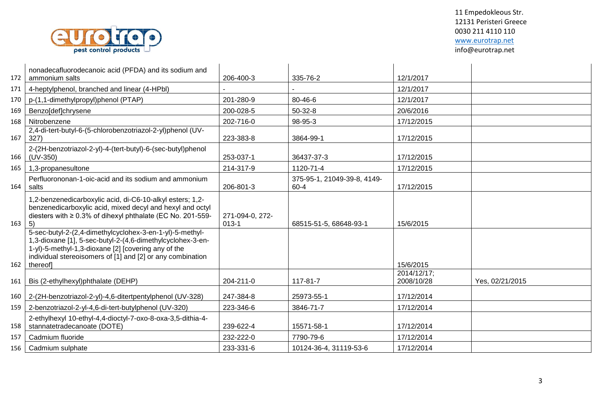

| 172 | nonadecafluorodecanoic acid (PFDA) and its sodium and<br>ammonium salts                                                                                                                                                                                 | 206-400-3                  | 335-76-2                            | 12/1/2017                 |                 |
|-----|---------------------------------------------------------------------------------------------------------------------------------------------------------------------------------------------------------------------------------------------------------|----------------------------|-------------------------------------|---------------------------|-----------------|
| 171 | 4-heptylphenol, branched and linear (4-HPbl)                                                                                                                                                                                                            |                            |                                     | 12/1/2017                 |                 |
| 170 | p-(1,1-dimethylpropyl)phenol (PTAP)                                                                                                                                                                                                                     | 201-280-9                  | 80-46-6                             | 12/1/2017                 |                 |
| 169 | Benzo[def]chrysene                                                                                                                                                                                                                                      | 200-028-5                  | $50-32-8$                           | 20/6/2016                 |                 |
| 168 | Nitrobenzene                                                                                                                                                                                                                                            | 202-716-0                  | 98-95-3                             | 17/12/2015                |                 |
| 167 | 2,4-di-tert-butyl-6-(5-chlorobenzotriazol-2-yl)phenol (UV-<br>327)                                                                                                                                                                                      | 223-383-8                  | 3864-99-1                           | 17/12/2015                |                 |
| 166 | 2-(2H-benzotriazol-2-yl)-4-(tert-butyl)-6-(sec-butyl)phenol<br>$(UV-350)$                                                                                                                                                                               | 253-037-1                  | 36437-37-3                          | 17/12/2015                |                 |
| 165 | 1,3-propanesultone                                                                                                                                                                                                                                      | 214-317-9                  | 1120-71-4                           | 17/12/2015                |                 |
| 164 | Perfluorononan-1-oic-acid and its sodium and ammonium<br>salts                                                                                                                                                                                          | 206-801-3                  | 375-95-1, 21049-39-8, 4149-<br>60-4 | 17/12/2015                |                 |
| 163 | 1,2-benzenedicarboxylic acid, di-C6-10-alkyl esters; 1,2-<br>benzenedicarboxylic acid, mixed decyl and hexyl and octyl<br>diesters with $\geq 0.3\%$ of dihexyl phthalate (EC No. 201-559-<br>  5)                                                      | 271-094-0, 272-<br>$013-1$ | 68515-51-5, 68648-93-1              | 15/6/2015                 |                 |
| 162 | 5-sec-butyl-2-(2,4-dimethylcyclohex-3-en-1-yl)-5-methyl-<br>1,3-dioxane [1], 5-sec-butyl-2-(4,6-dimethylcyclohex-3-en-<br>1-yl)-5-methyl-1,3-dioxane [2] [covering any of the<br>individual stereoisomers of [1] and [2] or any combination<br>thereof] |                            |                                     | 15/6/2015                 |                 |
| 161 | Bis (2-ethylhexyl)phthalate (DEHP)                                                                                                                                                                                                                      | 204-211-0                  | 117-81-7                            | 2014/12/17;<br>2008/10/28 | Yes, 02/21/2015 |
| 160 | 2-(2H-benzotriazol-2-yl)-4,6-ditertpentylphenol (UV-328)                                                                                                                                                                                                | 247-384-8                  | 25973-55-1                          | 17/12/2014                |                 |
| 159 | 2-benzotriazol-2-yl-4,6-di-tert-butylphenol (UV-320)                                                                                                                                                                                                    | 223-346-6                  | 3846-71-7                           | 17/12/2014                |                 |
| 158 | 2-ethylhexyl 10-ethyl-4,4-dioctyl-7-oxo-8-oxa-3,5-dithia-4-<br>stannatetradecanoate (DOTE)                                                                                                                                                              | 239-622-4                  | 15571-58-1                          | 17/12/2014                |                 |
| 157 | Cadmium fluoride                                                                                                                                                                                                                                        | 232-222-0                  | 7790-79-6                           | 17/12/2014                |                 |
| 156 | Cadmium sulphate                                                                                                                                                                                                                                        | 233-331-6                  | 10124-36-4, 31119-53-6              | 17/12/2014                |                 |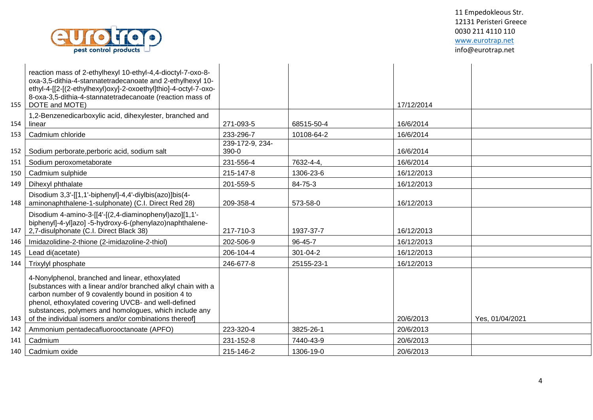

|     | reaction mass of 2-ethylhexyl 10-ethyl-4,4-dioctyl-7-oxo-8-                 |                 |            |            |                 |
|-----|-----------------------------------------------------------------------------|-----------------|------------|------------|-----------------|
|     | oxa-3,5-dithia-4-stannatetradecanoate and 2-ethylhexyl 10-                  |                 |            |            |                 |
|     | ethyl-4-[[2-[(2-ethylhexyl)oxy]-2-oxoethyl]thio]-4-octyl-7-oxo-             |                 |            |            |                 |
| 155 | 8-oxa-3,5-dithia-4-stannatetradecanoate (reaction mass of<br>DOTE and MOTE) |                 |            | 17/12/2014 |                 |
|     | 1,2-Benzenedicarboxylic acid, dihexylester, branched and                    |                 |            |            |                 |
| 154 | linear                                                                      | 271-093-5       | 68515-50-4 | 16/6/2014  |                 |
| 153 | Cadmium chloride                                                            | 233-296-7       | 10108-64-2 | 16/6/2014  |                 |
|     |                                                                             | 239-172-9, 234- |            |            |                 |
| 152 | Sodium perborate, perboric acid, sodium salt                                | $390-0$         |            | 16/6/2014  |                 |
| 151 | Sodium peroxometaborate                                                     | 231-556-4       | 7632-4-4.  | 16/6/2014  |                 |
| 150 | Cadmium sulphide                                                            | 215-147-8       | 1306-23-6  | 16/12/2013 |                 |
| 149 | Dihexyl phthalate                                                           | 201-559-5       | 84-75-3    | 16/12/2013 |                 |
|     | Disodium 3,3'-[[1,1'-biphenyl]-4,4'-diylbis(azo)]bis(4-                     |                 |            |            |                 |
| 148 | aminonaphthalene-1-sulphonate) (C.I. Direct Red 28)                         | 209-358-4       | 573-58-0   | 16/12/2013 |                 |
|     | Disodium 4-amino-3-[[4'-[(2,4-diaminophenyl)azo][1,1'-                      |                 |            |            |                 |
|     | biphenyl]-4-yl]azo] -5-hydroxy-6-(phenylazo)naphthalene-                    |                 |            |            |                 |
| 147 | 2,7-disulphonate (C.I. Direct Black 38)                                     | 217-710-3       | 1937-37-7  | 16/12/2013 |                 |
| 146 | Imidazolidine-2-thione (2-imidazoline-2-thiol)                              | 202-506-9       | 96-45-7    | 16/12/2013 |                 |
| 145 | Lead di(acetate)                                                            | 206-104-4       | 301-04-2   | 16/12/2013 |                 |
| 144 | Trixylyl phosphate                                                          | 246-677-8       | 25155-23-1 | 16/12/2013 |                 |
|     | 4-Nonylphenol, branched and linear, ethoxylated                             |                 |            |            |                 |
|     | [substances with a linear and/or branched alkyl chain with a                |                 |            |            |                 |
|     | carbon number of 9 covalently bound in position 4 to                        |                 |            |            |                 |
|     | phenol, ethoxylated covering UVCB- and well-defined                         |                 |            |            |                 |
|     | substances, polymers and homologues, which include any                      |                 |            |            |                 |
| 143 | of the individual isomers and/or combinations thereof]                      |                 |            | 20/6/2013  | Yes, 01/04/2021 |
| 142 | Ammonium pentadecafluorooctanoate (APFO)                                    | 223-320-4       | 3825-26-1  | 20/6/2013  |                 |
| 141 | Cadmium                                                                     | 231-152-8       | 7440-43-9  | 20/6/2013  |                 |
| 140 | Cadmium oxide                                                               | 215-146-2       | 1306-19-0  | 20/6/2013  |                 |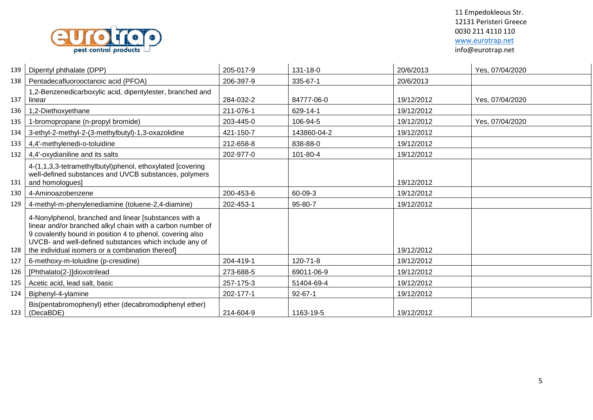

| 139 | Dipentyl phthalate (DPP)                                                                                                                                                                                                                                                                       | 205-017-9 | 131-18-0      | 20/6/2013  | Yes, 07/04/2020 |
|-----|------------------------------------------------------------------------------------------------------------------------------------------------------------------------------------------------------------------------------------------------------------------------------------------------|-----------|---------------|------------|-----------------|
| 138 | Pentadecafluorooctanoic acid (PFOA)                                                                                                                                                                                                                                                            | 206-397-9 | 335-67-1      | 20/6/2013  |                 |
| 137 | 1,2-Benzenedicarboxylic acid, dipentylester, branched and<br>linear                                                                                                                                                                                                                            | 284-032-2 | 84777-06-0    | 19/12/2012 | Yes, 07/04/2020 |
| 136 | 1,2-Diethoxyethane                                                                                                                                                                                                                                                                             | 211-076-1 | 629-14-1      | 19/12/2012 |                 |
| 135 | 1-bromopropane (n-propyl bromide)                                                                                                                                                                                                                                                              | 203-445-0 | 106-94-5      | 19/12/2012 | Yes, 07/04/2020 |
| 134 | 3-ethyl-2-methyl-2-(3-methylbutyl)-1,3-oxazolidine                                                                                                                                                                                                                                             | 421-150-7 | 143860-04-2   | 19/12/2012 |                 |
| 133 | 4,4'-methylenedi-o-toluidine                                                                                                                                                                                                                                                                   | 212-658-8 | 838-88-0      | 19/12/2012 |                 |
| 132 | 4,4'-oxydianiline and its salts                                                                                                                                                                                                                                                                | 202-977-0 | 101-80-4      | 19/12/2012 |                 |
| 131 | 4-(1,1,3,3-tetramethylbutyl)phenol, ethoxylated [covering<br>well-defined substances and UVCB substances, polymers<br>and homologues]                                                                                                                                                          |           |               | 19/12/2012 |                 |
| 130 | 4-Aminoazobenzene                                                                                                                                                                                                                                                                              | 200-453-6 | 60-09-3       | 19/12/2012 |                 |
| 129 | 4-methyl-m-phenylenediamine (toluene-2,4-diamine)                                                                                                                                                                                                                                              | 202-453-1 | 95-80-7       | 19/12/2012 |                 |
| 128 | 4-Nonylphenol, branched and linear [substances with a<br>linear and/or branched alkyl chain with a carbon number of<br>9 covalently bound in position 4 to phenol, covering also<br>UVCB- and well-defined substances which include any of<br>the individual isomers or a combination thereof] |           |               | 19/12/2012 |                 |
| 127 | 6-methoxy-m-toluidine (p-cresidine)                                                                                                                                                                                                                                                            | 204-419-1 | 120-71-8      | 19/12/2012 |                 |
| 126 | [Phthalato(2-)]dioxotrilead                                                                                                                                                                                                                                                                    | 273-688-5 | 69011-06-9    | 19/12/2012 |                 |
| 125 | Acetic acid, lead salt, basic                                                                                                                                                                                                                                                                  | 257-175-3 | 51404-69-4    | 19/12/2012 |                 |
| 124 | Biphenyl-4-ylamine                                                                                                                                                                                                                                                                             | 202-177-1 | $92 - 67 - 1$ | 19/12/2012 |                 |
| 123 | Bis(pentabromophenyl) ether (decabromodiphenyl ether)<br>(DecaBDE)                                                                                                                                                                                                                             | 214-604-9 | 1163-19-5     | 19/12/2012 |                 |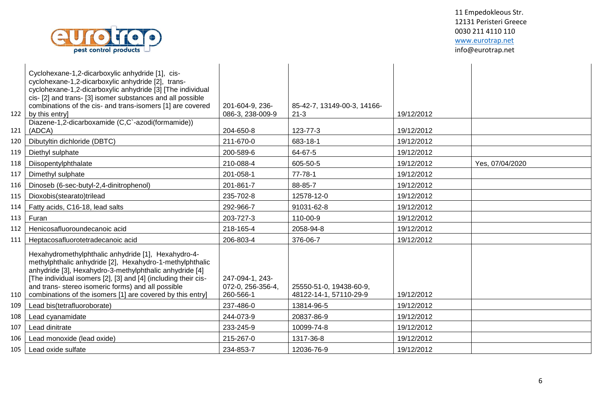

| 122 | Cyclohexane-1,2-dicarboxylic anhydride [1], cis-<br>cyclohexane-1,2-dicarboxylic anhydride [2], trans-<br>cyclohexane-1,2-dicarboxylic anhydride [3] [The individual<br>cis- [2] and trans- [3] isomer substances and all possible<br>combinations of the cis- and trans-isomers [1] are covered<br>by this entry]                                               | 201-604-9, 236-<br>086-3, 238-009-9               | 85-42-7, 13149-00-3, 14166-<br>$21 - 3$           | 19/12/2012 |                 |
|-----|------------------------------------------------------------------------------------------------------------------------------------------------------------------------------------------------------------------------------------------------------------------------------------------------------------------------------------------------------------------|---------------------------------------------------|---------------------------------------------------|------------|-----------------|
| 121 | Diazene-1,2-dicarboxamide (C,C`-azodi(formamide))<br>(ADCA)                                                                                                                                                                                                                                                                                                      | 204-650-8                                         | 123-77-3                                          | 19/12/2012 |                 |
| 120 | Dibutyltin dichloride (DBTC)                                                                                                                                                                                                                                                                                                                                     | 211-670-0                                         | 683-18-1                                          | 19/12/2012 |                 |
| 119 | Diethyl sulphate                                                                                                                                                                                                                                                                                                                                                 | 200-589-6                                         | 64-67-5                                           | 19/12/2012 |                 |
| 118 | Diisopentylphthalate                                                                                                                                                                                                                                                                                                                                             | 210-088-4                                         | 605-50-5                                          | 19/12/2012 | Yes, 07/04/2020 |
| 117 | Dimethyl sulphate                                                                                                                                                                                                                                                                                                                                                | 201-058-1                                         | $77 - 78 - 1$                                     | 19/12/2012 |                 |
| 116 | Dinoseb (6-sec-butyl-2,4-dinitrophenol)                                                                                                                                                                                                                                                                                                                          | 201-861-7                                         | 88-85-7                                           | 19/12/2012 |                 |
| 115 | Dioxobis(stearato)trilead                                                                                                                                                                                                                                                                                                                                        | 235-702-8                                         | 12578-12-0                                        | 19/12/2012 |                 |
| 114 | Fatty acids, C16-18, lead salts                                                                                                                                                                                                                                                                                                                                  | 292-966-7                                         | 91031-62-8                                        | 19/12/2012 |                 |
| 113 | Furan                                                                                                                                                                                                                                                                                                                                                            | 203-727-3                                         | 110-00-9                                          | 19/12/2012 |                 |
| 112 | Henicosafluoroundecanoic acid                                                                                                                                                                                                                                                                                                                                    | 218-165-4                                         | 2058-94-8                                         | 19/12/2012 |                 |
| 111 | Heptacosafluorotetradecanoic acid                                                                                                                                                                                                                                                                                                                                | 206-803-4                                         | 376-06-7                                          | 19/12/2012 |                 |
| 110 | Hexahydromethylphthalic anhydride [1], Hexahydro-4-<br>methylphthalic anhydride [2], Hexahydro-1-methylphthalic<br>anhydride [3], Hexahydro-3-methylphthalic anhydride [4]<br>[The individual isomers [2], [3] and [4] (including their cis-<br>and trans- stereo isomeric forms) and all possible<br>combinations of the isomers [1] are covered by this entry] | 247-094-1, 243-<br>072-0, 256-356-4,<br>260-566-1 | 25550-51-0, 19438-60-9,<br>48122-14-1, 57110-29-9 | 19/12/2012 |                 |
| 109 | Lead bis(tetrafluoroborate)                                                                                                                                                                                                                                                                                                                                      | 237-486-0                                         | 13814-96-5                                        | 19/12/2012 |                 |
| 108 | Lead cyanamidate                                                                                                                                                                                                                                                                                                                                                 | 244-073-9                                         | 20837-86-9                                        | 19/12/2012 |                 |
| 107 | Lead dinitrate                                                                                                                                                                                                                                                                                                                                                   | 233-245-9                                         | 10099-74-8                                        | 19/12/2012 |                 |
| 106 | Lead monoxide (lead oxide)                                                                                                                                                                                                                                                                                                                                       | 215-267-0                                         | 1317-36-8                                         | 19/12/2012 |                 |
| 105 | Lead oxide sulfate                                                                                                                                                                                                                                                                                                                                               | 234-853-7                                         | 12036-76-9                                        | 19/12/2012 |                 |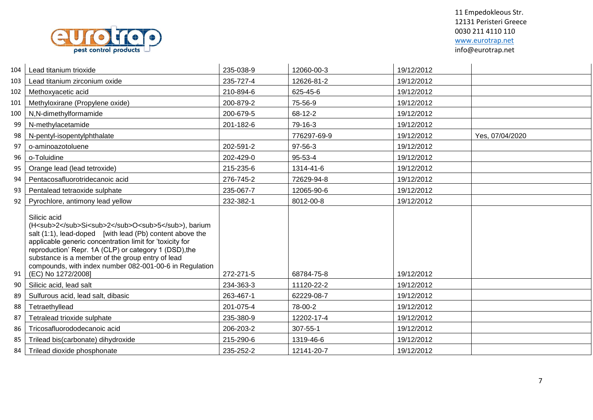

| 104 | Lead titanium trioxide                                                                                                                                                                                                                                                                                                                                                                         | 235-038-9 | 12060-00-3  | 19/12/2012 |                 |
|-----|------------------------------------------------------------------------------------------------------------------------------------------------------------------------------------------------------------------------------------------------------------------------------------------------------------------------------------------------------------------------------------------------|-----------|-------------|------------|-----------------|
| 103 | Lead titanium zirconium oxide                                                                                                                                                                                                                                                                                                                                                                  | 235-727-4 | 12626-81-2  | 19/12/2012 |                 |
| 102 | Methoxyacetic acid                                                                                                                                                                                                                                                                                                                                                                             | 210-894-6 | 625-45-6    | 19/12/2012 |                 |
| 101 | Methyloxirane (Propylene oxide)                                                                                                                                                                                                                                                                                                                                                                | 200-879-2 | 75-56-9     | 19/12/2012 |                 |
| 100 | N,N-dimethylformamide                                                                                                                                                                                                                                                                                                                                                                          | 200-679-5 | 68-12-2     | 19/12/2012 |                 |
| 99  | N-methylacetamide                                                                                                                                                                                                                                                                                                                                                                              | 201-182-6 | 79-16-3     | 19/12/2012 |                 |
| 98  | N-pentyl-isopentylphthalate                                                                                                                                                                                                                                                                                                                                                                    |           | 776297-69-9 | 19/12/2012 | Yes, 07/04/2020 |
| 97  | o-aminoazotoluene                                                                                                                                                                                                                                                                                                                                                                              | 202-591-2 | 97-56-3     | 19/12/2012 |                 |
| 96  | o-Toluidine                                                                                                                                                                                                                                                                                                                                                                                    | 202-429-0 | 95-53-4     | 19/12/2012 |                 |
| 95  | Orange lead (lead tetroxide)                                                                                                                                                                                                                                                                                                                                                                   | 215-235-6 | 1314-41-6   | 19/12/2012 |                 |
| 94  | Pentacosafluorotridecanoic acid                                                                                                                                                                                                                                                                                                                                                                | 276-745-2 | 72629-94-8  | 19/12/2012 |                 |
| 93  | Pentalead tetraoxide sulphate                                                                                                                                                                                                                                                                                                                                                                  | 235-067-7 | 12065-90-6  | 19/12/2012 |                 |
| 92  | Pyrochlore, antimony lead yellow                                                                                                                                                                                                                                                                                                                                                               | 232-382-1 | 8012-00-8   | 19/12/2012 |                 |
| 91  | Silicic acid<br>(H <sub>2</sub> Si <sub>2</sub> O <sub>5</sub> ), barium<br>salt (1:1), lead-doped [with lead (Pb) content above the<br>applicable generic concentration limit for 'toxicity for<br>reproduction' Repr. 1A (CLP) or category 1 (DSD), the<br>substance is a member of the group entry of lead<br>compounds, with index number 082-001-00-6 in Regulation<br>(EC) No 1272/2008] | 272-271-5 | 68784-75-8  | 19/12/2012 |                 |
| 90  | Silicic acid, lead salt                                                                                                                                                                                                                                                                                                                                                                        | 234-363-3 | 11120-22-2  | 19/12/2012 |                 |
| 89  | Sulfurous acid, lead salt, dibasic                                                                                                                                                                                                                                                                                                                                                             | 263-467-1 | 62229-08-7  | 19/12/2012 |                 |
| 88  | Tetraethyllead                                                                                                                                                                                                                                                                                                                                                                                 | 201-075-4 | 78-00-2     | 19/12/2012 |                 |
| 87  | Tetralead trioxide sulphate                                                                                                                                                                                                                                                                                                                                                                    | 235-380-9 | 12202-17-4  | 19/12/2012 |                 |
| 86  | Tricosafluorododecanoic acid                                                                                                                                                                                                                                                                                                                                                                   | 206-203-2 | 307-55-1    | 19/12/2012 |                 |
| 85  | Trilead bis(carbonate) dihydroxide                                                                                                                                                                                                                                                                                                                                                             | 215-290-6 | 1319-46-6   | 19/12/2012 |                 |
| 84  | Trilead dioxide phosphonate                                                                                                                                                                                                                                                                                                                                                                    | 235-252-2 | 12141-20-7  | 19/12/2012 |                 |
|     |                                                                                                                                                                                                                                                                                                                                                                                                |           |             |            |                 |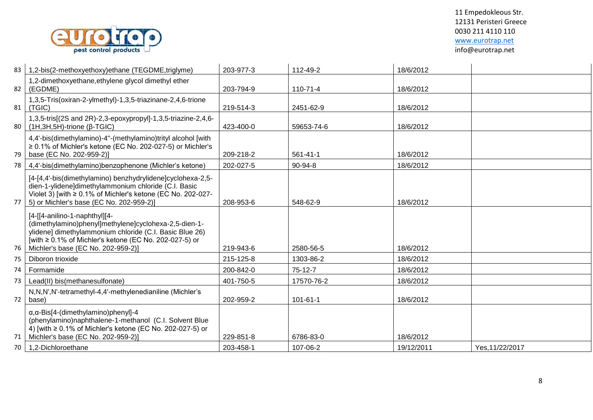

| 83   | 1,2-bis(2-methoxyethoxy)ethane (TEGDME, triglyme)                                                                                                                                                                                                 | 203-977-3 | 112-49-2       | 18/6/2012  |                 |
|------|---------------------------------------------------------------------------------------------------------------------------------------------------------------------------------------------------------------------------------------------------|-----------|----------------|------------|-----------------|
| 82   | 1,2-dimethoxyethane, ethylene glycol dimethyl ether<br>(EGDME)                                                                                                                                                                                    | 203-794-9 | 110-71-4       | 18/6/2012  |                 |
| 81   | 1,3,5-Tris(oxiran-2-ylmethyl)-1,3,5-triazinane-2,4,6-trione<br>(TGIC)                                                                                                                                                                             | 219-514-3 | 2451-62-9      | 18/6/2012  |                 |
|      | 1,3,5-tris[(2S and 2R)-2,3-epoxypropyl]-1,3,5-triazine-2,4,6-<br>80   (1H, 3H, 5H) - trione (β-TGIC)                                                                                                                                              | 423-400-0 | 59653-74-6     | 18/6/2012  |                 |
| 79   | 4,4'-bis(dimethylamino)-4"-(methylamino)trityl alcohol [with<br>$\geq$ 0.1% of Michler's ketone (EC No. 202-027-5) or Michler's<br>base (EC No. 202-959-2)]                                                                                       | 209-218-2 | 561-41-1       | 18/6/2012  |                 |
| 78 I | 4,4'-bis(dimethylamino)benzophenone (Michler's ketone)                                                                                                                                                                                            | 202-027-5 | $90 - 94 - 8$  | 18/6/2012  |                 |
| 77   | [4-[4,4'-bis(dimethylamino) benzhydrylidene]cyclohexa-2,5-<br>dien-1-ylidene]dimethylammonium chloride (C.I. Basic<br>Violet 3) [with $\geq 0.1\%$ of Michler's ketone (EC No. 202-027-<br>5) or Michler's base (EC No. 202-959-2)]               | 208-953-6 | 548-62-9       | 18/6/2012  |                 |
| 76   | [4-[[4-anilino-1-naphthyl][4-<br>(dimethylamino)phenyl]methylene]cyclohexa-2,5-dien-1-<br>ylidene] dimethylammonium chloride (C.I. Basic Blue 26)<br>[with ≥ 0.1% of Michler's ketone (EC No. 202-027-5) or<br>Michler's base (EC No. 202-959-2)] | 219-943-6 | 2580-56-5      | 18/6/2012  |                 |
| 75   | Diboron trioxide                                                                                                                                                                                                                                  | 215-125-8 | 1303-86-2      | 18/6/2012  |                 |
| 74   | Formamide                                                                                                                                                                                                                                         | 200-842-0 | $75-12-7$      | 18/6/2012  |                 |
| 73   | Lead(II) bis(methanesulfonate)                                                                                                                                                                                                                    | 401-750-5 | 17570-76-2     | 18/6/2012  |                 |
| 72   | N,N,N',N'-tetramethyl-4,4'-methylenedianiline (Michler's<br>base)                                                                                                                                                                                 | 202-959-2 | $101 - 61 - 1$ | 18/6/2012  |                 |
| 71 I | $\alpha$ , $\alpha$ -Bis[4-(dimethylamino)phenyl]-4<br>(phenylamino)naphthalene-1-methanol (C.I. Solvent Blue<br>4) [with ≥ 0.1% of Michler's ketone (EC No. 202-027-5) or<br>Michler's base (EC No. 202-959-2)]                                  | 229-851-8 | 6786-83-0      | 18/6/2012  |                 |
| 70 I | 1,2-Dichloroethane                                                                                                                                                                                                                                | 203-458-1 | 107-06-2       | 19/12/2011 | Yes, 11/22/2017 |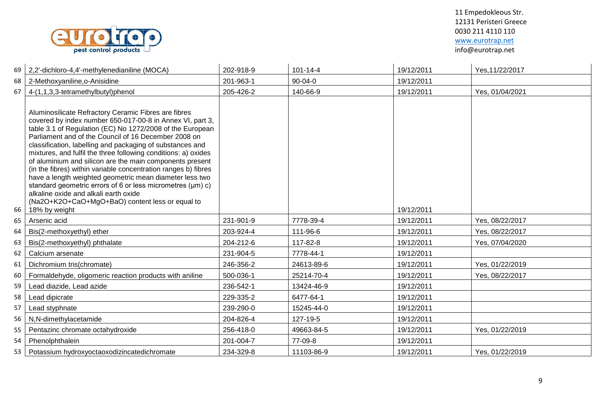

| 69 | 2,2'-dichloro-4,4'-methylenedianiline (MOCA)                                                                                                                                                                                                                                                                                                                                                                                                                                                                                                                                                                                                                                                                                              | 202-918-9 | $101 - 14 - 4$ | 19/12/2011 | Yes, 11/22/2017 |
|----|-------------------------------------------------------------------------------------------------------------------------------------------------------------------------------------------------------------------------------------------------------------------------------------------------------------------------------------------------------------------------------------------------------------------------------------------------------------------------------------------------------------------------------------------------------------------------------------------------------------------------------------------------------------------------------------------------------------------------------------------|-----------|----------------|------------|-----------------|
| 68 | 2-Methoxyaniline, o-Anisidine                                                                                                                                                                                                                                                                                                                                                                                                                                                                                                                                                                                                                                                                                                             | 201-963-1 | $90 - 04 - 0$  | 19/12/2011 |                 |
| 67 | 4-(1,1,3,3-tetramethylbutyl)phenol                                                                                                                                                                                                                                                                                                                                                                                                                                                                                                                                                                                                                                                                                                        | 205-426-2 | 140-66-9       | 19/12/2011 | Yes, 01/04/2021 |
| 66 | Aluminosilicate Refractory Ceramic Fibres are fibres<br>covered by index number 650-017-00-8 in Annex VI, part 3,<br>table 3.1 of Regulation (EC) No 1272/2008 of the European<br>Parliament and of the Council of 16 December 2008 on<br>classification, labelling and packaging of substances and<br>mixtures, and fulfil the three following conditions: a) oxides<br>of aluminium and silicon are the main components present<br>(in the fibres) within variable concentration ranges b) fibres<br>have a length weighted geometric mean diameter less two<br>standard geometric errors of 6 or less micrometres (µm) c)<br>alkaline oxide and alkali earth oxide<br>(Na2O+K2O+CaO+MgO+BaO) content less or equal to<br>18% by weight |           |                | 19/12/2011 |                 |
| 65 | Arsenic acid                                                                                                                                                                                                                                                                                                                                                                                                                                                                                                                                                                                                                                                                                                                              | 231-901-9 | 7778-39-4      | 19/12/2011 | Yes, 08/22/2017 |
| 64 | Bis(2-methoxyethyl) ether                                                                                                                                                                                                                                                                                                                                                                                                                                                                                                                                                                                                                                                                                                                 | 203-924-4 | 111-96-6       | 19/12/2011 | Yes, 08/22/2017 |
| 63 | Bis(2-methoxyethyl) phthalate                                                                                                                                                                                                                                                                                                                                                                                                                                                                                                                                                                                                                                                                                                             | 204-212-6 | 117-82-8       | 19/12/2011 | Yes, 07/04/2020 |
| 62 | Calcium arsenate                                                                                                                                                                                                                                                                                                                                                                                                                                                                                                                                                                                                                                                                                                                          | 231-904-5 | 7778-44-1      | 19/12/2011 |                 |
| 61 | Dichromium tris(chromate)                                                                                                                                                                                                                                                                                                                                                                                                                                                                                                                                                                                                                                                                                                                 | 246-356-2 | 24613-89-6     | 19/12/2011 | Yes, 01/22/2019 |
| 60 | Formaldehyde, oligomeric reaction products with aniline                                                                                                                                                                                                                                                                                                                                                                                                                                                                                                                                                                                                                                                                                   | 500-036-1 | 25214-70-4     | 19/12/2011 | Yes, 08/22/2017 |
| 59 | Lead diazide, Lead azide                                                                                                                                                                                                                                                                                                                                                                                                                                                                                                                                                                                                                                                                                                                  | 236-542-1 | 13424-46-9     | 19/12/2011 |                 |
| 58 | Lead dipicrate                                                                                                                                                                                                                                                                                                                                                                                                                                                                                                                                                                                                                                                                                                                            | 229-335-2 | 6477-64-1      | 19/12/2011 |                 |
| 57 | Lead styphnate                                                                                                                                                                                                                                                                                                                                                                                                                                                                                                                                                                                                                                                                                                                            | 239-290-0 | 15245-44-0     | 19/12/2011 |                 |
| 56 | N,N-dimethylacetamide                                                                                                                                                                                                                                                                                                                                                                                                                                                                                                                                                                                                                                                                                                                     | 204-826-4 | 127-19-5       | 19/12/2011 |                 |
| 55 | Pentazinc chromate octahydroxide                                                                                                                                                                                                                                                                                                                                                                                                                                                                                                                                                                                                                                                                                                          | 256-418-0 | 49663-84-5     | 19/12/2011 | Yes, 01/22/2019 |
| 54 | Phenolphthalein                                                                                                                                                                                                                                                                                                                                                                                                                                                                                                                                                                                                                                                                                                                           | 201-004-7 | 77-09-8        | 19/12/2011 |                 |
| 53 | Potassium hydroxyoctaoxodizincatedichromate                                                                                                                                                                                                                                                                                                                                                                                                                                                                                                                                                                                                                                                                                               | 234-329-8 | 11103-86-9     | 19/12/2011 | Yes, 01/22/2019 |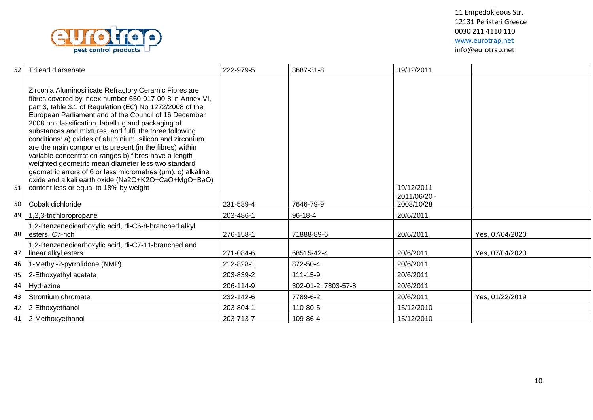

| 52 | Trilead diarsenate                                                                                                                                                                                                                                                                                                                                                                                                                                                                                                                                                                                                                                                                                                                                             | 222-979-5 | 3687-31-8           | 19/12/2011                 |                 |
|----|----------------------------------------------------------------------------------------------------------------------------------------------------------------------------------------------------------------------------------------------------------------------------------------------------------------------------------------------------------------------------------------------------------------------------------------------------------------------------------------------------------------------------------------------------------------------------------------------------------------------------------------------------------------------------------------------------------------------------------------------------------------|-----------|---------------------|----------------------------|-----------------|
| 51 | Zirconia Aluminosilicate Refractory Ceramic Fibres are<br>fibres covered by index number 650-017-00-8 in Annex VI,<br>part 3, table 3.1 of Regulation (EC) No 1272/2008 of the<br>European Parliament and of the Council of 16 December<br>2008 on classification, labelling and packaging of<br>substances and mixtures, and fulfil the three following<br>conditions: a) oxides of aluminium, silicon and zirconium<br>are the main components present (in the fibres) within<br>variable concentration ranges b) fibres have a length<br>weighted geometric mean diameter less two standard<br>geometric errors of 6 or less micrometres (µm). c) alkaline<br>oxide and alkali earth oxide (Na2O+K2O+CaO+MgO+BaO)<br>content less or equal to 18% by weight |           |                     | 19/12/2011                 |                 |
| 50 | Cobalt dichloride                                                                                                                                                                                                                                                                                                                                                                                                                                                                                                                                                                                                                                                                                                                                              | 231-589-4 | 7646-79-9           | 2011/06/20 -<br>2008/10/28 |                 |
| 49 | 1,2,3-trichloropropane                                                                                                                                                                                                                                                                                                                                                                                                                                                                                                                                                                                                                                                                                                                                         | 202-486-1 | $96 - 18 - 4$       | 20/6/2011                  |                 |
| 48 | 1,2-Benzenedicarboxylic acid, di-C6-8-branched alkyl<br>esters, C7-rich                                                                                                                                                                                                                                                                                                                                                                                                                                                                                                                                                                                                                                                                                        | 276-158-1 | 71888-89-6          | 20/6/2011                  | Yes, 07/04/2020 |
| 47 | 1,2-Benzenedicarboxylic acid, di-C7-11-branched and<br>linear alkyl esters                                                                                                                                                                                                                                                                                                                                                                                                                                                                                                                                                                                                                                                                                     | 271-084-6 | 68515-42-4          | 20/6/2011                  | Yes, 07/04/2020 |
| 46 | 1-Methyl-2-pyrrolidone (NMP)                                                                                                                                                                                                                                                                                                                                                                                                                                                                                                                                                                                                                                                                                                                                   | 212-828-1 | 872-50-4            | 20/6/2011                  |                 |
| 45 | 2-Ethoxyethyl acetate                                                                                                                                                                                                                                                                                                                                                                                                                                                                                                                                                                                                                                                                                                                                          | 203-839-2 | $111 - 15 - 9$      | 20/6/2011                  |                 |
| 44 | Hydrazine                                                                                                                                                                                                                                                                                                                                                                                                                                                                                                                                                                                                                                                                                                                                                      | 206-114-9 | 302-01-2, 7803-57-8 | 20/6/2011                  |                 |
| 43 | Strontium chromate                                                                                                                                                                                                                                                                                                                                                                                                                                                                                                                                                                                                                                                                                                                                             | 232-142-6 | 7789-6-2.           | 20/6/2011                  | Yes, 01/22/2019 |
| 42 | 2-Ethoxyethanol                                                                                                                                                                                                                                                                                                                                                                                                                                                                                                                                                                                                                                                                                                                                                | 203-804-1 | 110-80-5            | 15/12/2010                 |                 |
| 41 | 2-Methoxyethanol                                                                                                                                                                                                                                                                                                                                                                                                                                                                                                                                                                                                                                                                                                                                               | 203-713-7 | 109-86-4            | 15/12/2010                 |                 |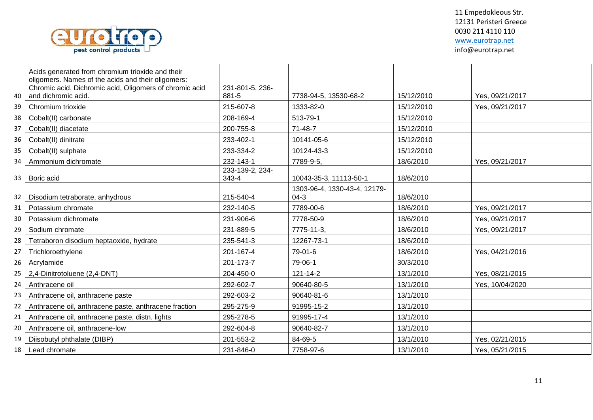

| 40 | Acids generated from chromium trioxide and their<br>oligomers. Names of the acids and their oligomers:<br>Chromic acid, Dichromic acid, Oligomers of chromic acid<br>and dichromic acid. | 231-801-5, 236-<br>881-5 | 7738-94-5, 13530-68-2                  | 15/12/2010 | Yes, 09/21/2017 |
|----|------------------------------------------------------------------------------------------------------------------------------------------------------------------------------------------|--------------------------|----------------------------------------|------------|-----------------|
| 39 | Chromium trioxide                                                                                                                                                                        | 215-607-8                | 1333-82-0                              | 15/12/2010 | Yes, 09/21/2017 |
| 38 | Cobalt(II) carbonate                                                                                                                                                                     | 208-169-4                | 513-79-1                               | 15/12/2010 |                 |
| 37 | Cobalt(II) diacetate                                                                                                                                                                     | 200-755-8                | $71 - 48 - 7$                          | 15/12/2010 |                 |
| 36 | Cobalt(II) dinitrate                                                                                                                                                                     | 233-402-1                | 10141-05-6                             | 15/12/2010 |                 |
| 35 | Cobalt(II) sulphate                                                                                                                                                                      | 233-334-2                | 10124-43-3                             | 15/12/2010 |                 |
| 34 | Ammonium dichromate                                                                                                                                                                      | 232-143-1                | 7789-9-5,                              | 18/6/2010  | Yes, 09/21/2017 |
| 33 | Boric acid                                                                                                                                                                               | 233-139-2, 234-<br>343-4 | 10043-35-3, 11113-50-1                 | 18/6/2010  |                 |
| 32 | Disodium tetraborate, anhydrous                                                                                                                                                          | 215-540-4                | 1303-96-4, 1330-43-4, 12179-<br>$04-3$ | 18/6/2010  |                 |
| 31 | Potassium chromate                                                                                                                                                                       | 232-140-5                | 7789-00-6                              | 18/6/2010  | Yes, 09/21/2017 |
| 30 | Potassium dichromate                                                                                                                                                                     | 231-906-6                | 7778-50-9                              | 18/6/2010  | Yes, 09/21/2017 |
| 29 | Sodium chromate                                                                                                                                                                          | 231-889-5                | 7775-11-3,                             | 18/6/2010  | Yes, 09/21/2017 |
| 28 | Tetraboron disodium heptaoxide, hydrate                                                                                                                                                  | 235-541-3                | 12267-73-1                             | 18/6/2010  |                 |
| 27 | Trichloroethylene                                                                                                                                                                        | 201-167-4                | 79-01-6                                | 18/6/2010  | Yes, 04/21/2016 |
| 26 | Acrylamide                                                                                                                                                                               | 201-173-7                | 79-06-1                                | 30/3/2010  |                 |
| 25 | 2,4-Dinitrotoluene (2,4-DNT)                                                                                                                                                             | 204-450-0                | $121 - 14 - 2$                         | 13/1/2010  | Yes, 08/21/2015 |
| 24 | Anthracene oil                                                                                                                                                                           | 292-602-7                | 90640-80-5                             | 13/1/2010  | Yes, 10/04/2020 |
| 23 | Anthracene oil, anthracene paste                                                                                                                                                         | 292-603-2                | 90640-81-6                             | 13/1/2010  |                 |
| 22 | Anthracene oil, anthracene paste, anthracene fraction                                                                                                                                    | 295-275-9                | 91995-15-2                             | 13/1/2010  |                 |
| 21 | Anthracene oil, anthracene paste, distn. lights                                                                                                                                          | 295-278-5                | 91995-17-4                             | 13/1/2010  |                 |
| 20 | Anthracene oil, anthracene-low                                                                                                                                                           | 292-604-8                | 90640-82-7                             | 13/1/2010  |                 |
| 19 | Diisobutyl phthalate (DIBP)                                                                                                                                                              | 201-553-2                | 84-69-5                                | 13/1/2010  | Yes, 02/21/2015 |
| 18 | Lead chromate                                                                                                                                                                            | 231-846-0                | 7758-97-6                              | 13/1/2010  | Yes, 05/21/2015 |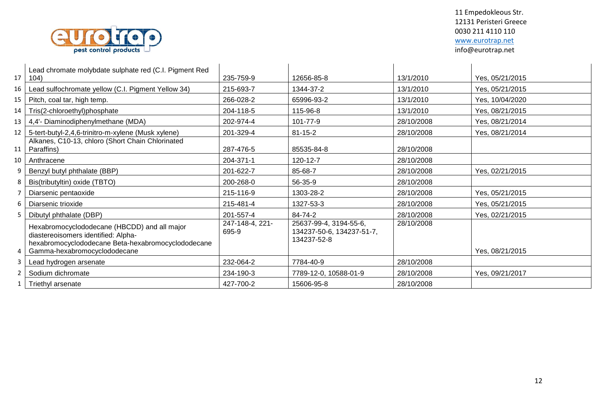

| 17 | Lead chromate molybdate sulphate red (C.I. Pigment Red<br>104)                                                                                                            | 235-759-9                | 12656-85-8                                                         | 13/1/2010  | Yes, 05/21/2015 |
|----|---------------------------------------------------------------------------------------------------------------------------------------------------------------------------|--------------------------|--------------------------------------------------------------------|------------|-----------------|
| 16 | Lead sulfochromate yellow (C.I. Pigment Yellow 34)                                                                                                                        | 215-693-7                | 1344-37-2                                                          | 13/1/2010  | Yes, 05/21/2015 |
| 15 | Pitch, coal tar, high temp.                                                                                                                                               | 266-028-2                | 65996-93-2                                                         | 13/1/2010  | Yes, 10/04/2020 |
| 14 | Tris(2-chloroethyl)phosphate                                                                                                                                              | 204-118-5                | 115-96-8                                                           | 13/1/2010  | Yes, 08/21/2015 |
| 13 | 4,4'- Diaminodiphenylmethane (MDA)                                                                                                                                        | 202-974-4                | 101-77-9                                                           | 28/10/2008 | Yes, 08/21/2014 |
| 12 | 5-tert-butyl-2,4,6-trinitro-m-xylene (Musk xylene)                                                                                                                        | 201-329-4                | $81 - 15 - 2$                                                      | 28/10/2008 | Yes, 08/21/2014 |
| 11 | Alkanes, C10-13, chloro (Short Chain Chlorinated<br>Paraffins)                                                                                                            | 287-476-5                | 85535-84-8                                                         | 28/10/2008 |                 |
| 10 | Anthracene                                                                                                                                                                | 204-371-1                | 120-12-7                                                           | 28/10/2008 |                 |
|    | Benzyl butyl phthalate (BBP)                                                                                                                                              | 201-622-7                | 85-68-7                                                            | 28/10/2008 | Yes, 02/21/2015 |
|    | Bis(tributyltin) oxide (TBTO)                                                                                                                                             | 200-268-0                | 56-35-9                                                            | 28/10/2008 |                 |
|    | Diarsenic pentaoxide                                                                                                                                                      | 215-116-9                | 1303-28-2                                                          | 28/10/2008 | Yes, 05/21/2015 |
| 6  | Diarsenic trioxide                                                                                                                                                        | 215-481-4                | 1327-53-3                                                          | 28/10/2008 | Yes, 05/21/2015 |
|    | Dibutyl phthalate (DBP)                                                                                                                                                   | 201-557-4                | 84-74-2                                                            | 28/10/2008 | Yes, 02/21/2015 |
|    | Hexabromocyclododecane (HBCDD) and all major<br>diastereoisomers identified: Alpha-<br>hexabromocyclododecane Beta-hexabromocyclododecane<br>Gamma-hexabromocyclododecane | 247-148-4, 221-<br>695-9 | 25637-99-4, 3194-55-6,<br>134237-50-6, 134237-51-7,<br>134237-52-8 | 28/10/2008 | Yes, 08/21/2015 |
|    | Lead hydrogen arsenate                                                                                                                                                    | 232-064-2                | 7784-40-9                                                          | 28/10/2008 |                 |
|    | Sodium dichromate                                                                                                                                                         | 234-190-3                | 7789-12-0, 10588-01-9                                              | 28/10/2008 | Yes, 09/21/2017 |
|    | Triethyl arsenate                                                                                                                                                         | 427-700-2                | 15606-95-8                                                         | 28/10/2008 |                 |